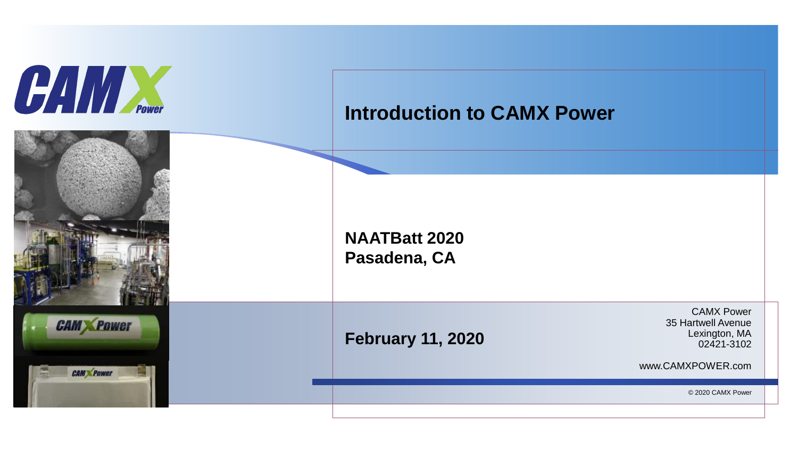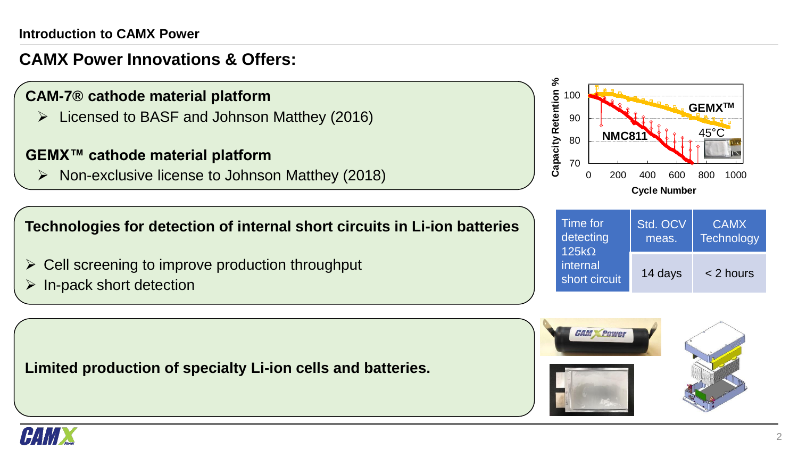## **CAMX Power Innovations & Offers:**

- **CAM-7® cathode material platform**
	- ➢ Licensed to BASF and Johnson Matthey (2016)

### **GEMX™ cathode material platform**

 $\triangleright$  Non-exclusive license to Johnson Matthey (2018)



- $\triangleright$  Cell screening to improve production throughput
- $\triangleright$  In-pack short detection

**Limited production of specialty Li-ion cells and batteries.**



| Time for<br>detecting<br>$125k\Omega$<br>internal<br>short circuit | Std. OCV<br>meas. | <b>CAMX</b><br><b>Technology</b> |
|--------------------------------------------------------------------|-------------------|----------------------------------|
|                                                                    | 14 days           | < 2 hours                        |



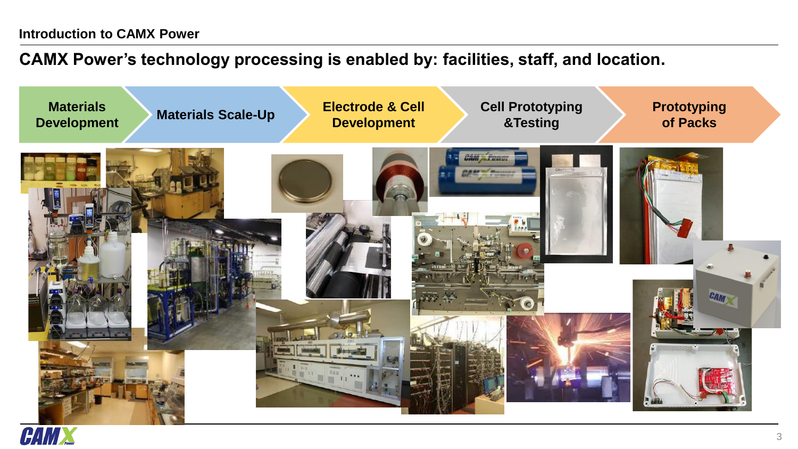# **CAMX Power's technology processing is enabled by: facilities, staff, and location.**



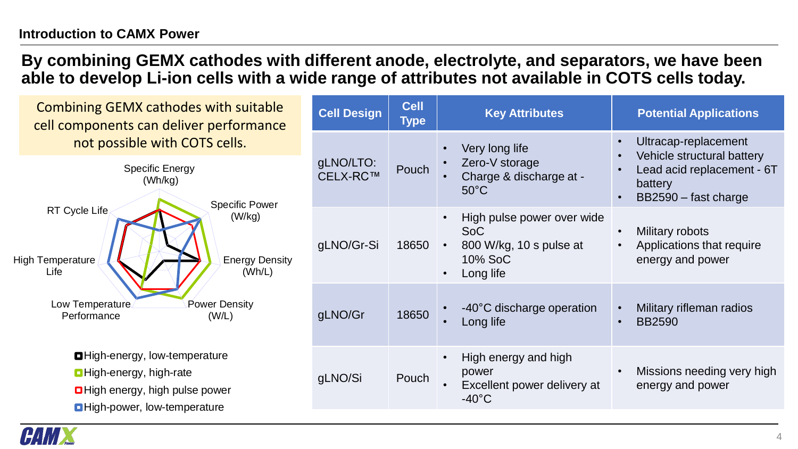### **By combining GEMX cathodes with different anode, electrolyte, and separators, we have been able to develop Li-ion cells with a wide range of attributes not available in COTS cells today.**

| <b>Combining GEMX cathodes with suitable</b><br>cell components can deliver performance                                                                                                                                                                  | <b>Cell Design</b>    | <b>Cell</b><br><b>Type</b> | <b>Key Attributes</b>                                                                       | <b>Potential Applications</b>                                                                                       |
|----------------------------------------------------------------------------------------------------------------------------------------------------------------------------------------------------------------------------------------------------------|-----------------------|----------------------------|---------------------------------------------------------------------------------------------|---------------------------------------------------------------------------------------------------------------------|
| not possible with COTS cells.<br><b>Specific Energy</b><br>(Wh/kg)<br><b>Specific Power</b><br>RT Cycle Life<br>(W/kg)<br><b>Energy Density</b><br><b>High Temperature</b><br>Life<br>(Wh/L)<br>Low Temperature<br>Power Density<br>Performance<br>(W/L) | gLNO/LTO:<br>CELX-RC™ | Pouch                      | Very long life<br>Zero-V storage<br>Charge & discharge at -<br>$50^{\circ}$ C               | Ultracap-replacement<br>Vehicle structural battery<br>Lead acid replacement - 6T<br>battery<br>BB2590 - fast charge |
|                                                                                                                                                                                                                                                          | gLNO/Gr-Si            | 18650                      | High pulse power over wide<br><b>SoC</b><br>800 W/kg, 10 s pulse at<br>10% SoC<br>Long life | Military robots<br>Applications that require<br>energy and power                                                    |
|                                                                                                                                                                                                                                                          | gLNO/Gr               | 18650                      | -40°C discharge operation<br>Long life                                                      | Military rifleman radios<br><b>BB2590</b>                                                                           |
| <b>O</b> High-energy, low-temperature<br><b>O</b> High-energy, high-rate<br><b>O</b> High energy, high pulse power<br><b>O</b> High-power, low-temperature                                                                                               | gLNO/Si               | Pouch                      | High energy and high<br>power<br>Excellent power delivery at<br>$-40^{\circ}$ C             | Missions needing very high<br>energy and power                                                                      |

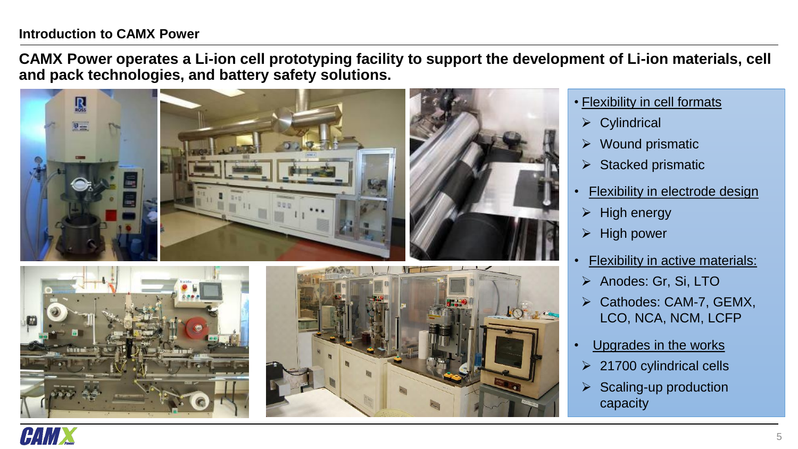#### **Introduction to CAMX Power**

**CAMX Power operates a Li-ion cell prototyping facility to support the development of Li-ion materials, cell and pack technologies, and battery safety solutions.** 





- Flexibility in cell formats
	- ➢ Cylindrical
	- ➢ Wound prismatic
	- $\triangleright$  Stacked prismatic
- Flexibility in electrode design
- $\triangleright$  High energy
- ➢ High power
- Flexibility in active materials:
- ➢ Anodes: Gr, Si, LTO
- Cathodes: CAM-7, GEMX, LCO, NCA, NCM, LCFP
- Upgrades in the works
- $\geq$  21700 cylindrical cells
- $\triangleright$  Scaling-up production capacity